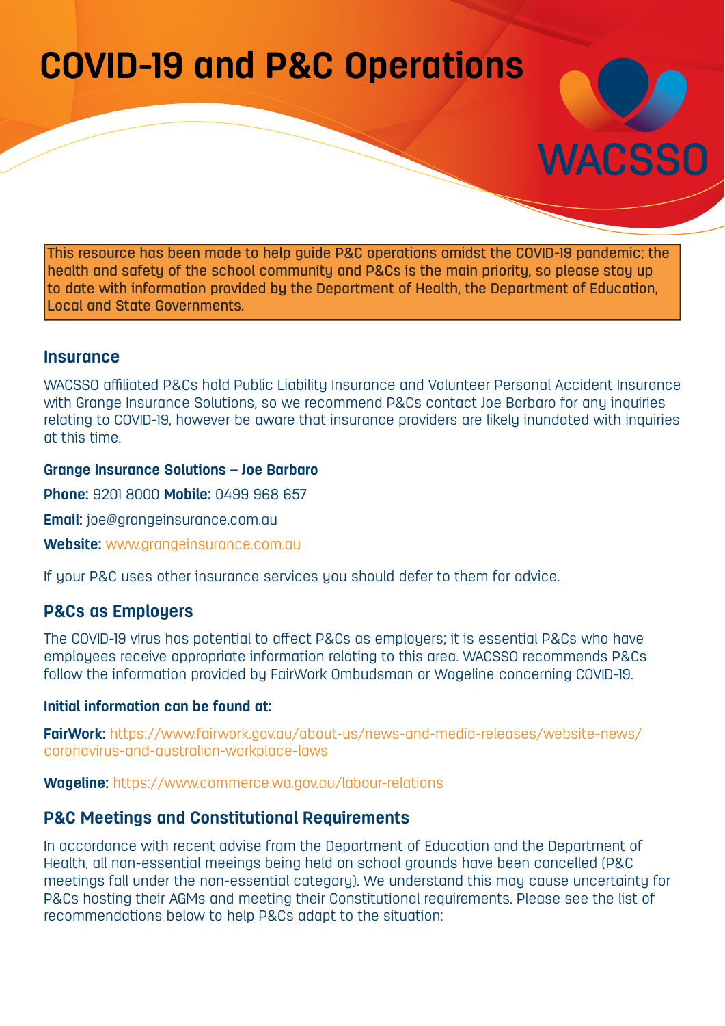# **COVID-19 and P&C Operations**



This resource has been made to help guide P&C operations amidst the COVID-19 pandemic; the health and safety of the school community and P&Cs is the main priority, so please stay up to date with information provided by the Department of Health, the Department of Education, Local and State Governments.

## **Insurance**

WACSSO affiliated P&Cs hold Public Liability Insurance and Volunteer Personal Accident Insurance with Grange Insurance Solutions, so we recommend P&Cs contact Joe Barbaro for any inquiries relating to COVID-19, however be aware that insurance providers are likely inundated with inquiries at this time.

#### **Grange Insurance Solutions – Joe Barbaro**

**Phone:** 9201 8000 **Mobile:** 0499 968 657

**Email:** joe@grangeinsurance.com.au

**Website:** [www.grangeinsurance.com.au](http://www.grangeinsurance.com.au)

If your P&C uses other insurance services you should defer to them for advice.

## **P&Cs as Employers**

The COVID-19 virus has potential to affect P&Cs as employers; it is essential P&Cs who have employees receive appropriate information relating to this area. WACSSO recommends P&Cs follow the information provided by FairWork Ombudsman or Wageline concerning COVID-19.

#### **Initial information can be found at:**

**FairWork:** [https://www.fairwork.gov.au/about-us/news-and-media-releases/website-news/](https://www.fairwork.gov.au/about-us/news-and-media-releases/website-news/coronavirus-and-australian) [coronavirus-and-australian-workplace-laws](https://www.fairwork.gov.au/about-us/news-and-media-releases/website-news/coronavirus-and-australian)

**Wageline:** <https://www.commerce.wa.gov.au/labour-relations>

## **P&C Meetings and Constitutional Requirements**

In accordance with recent advise from the Department of Education and the Department of Health, all non-essential meeings being held on school grounds have been cancelled (P&C meetings fall under the non-essential category). We understand this may cause uncertainty for P&Cs hosting their AGMs and meeting their Constitutional requirements. Please see the list of recommendations below to help P&Cs adapt to the situation: